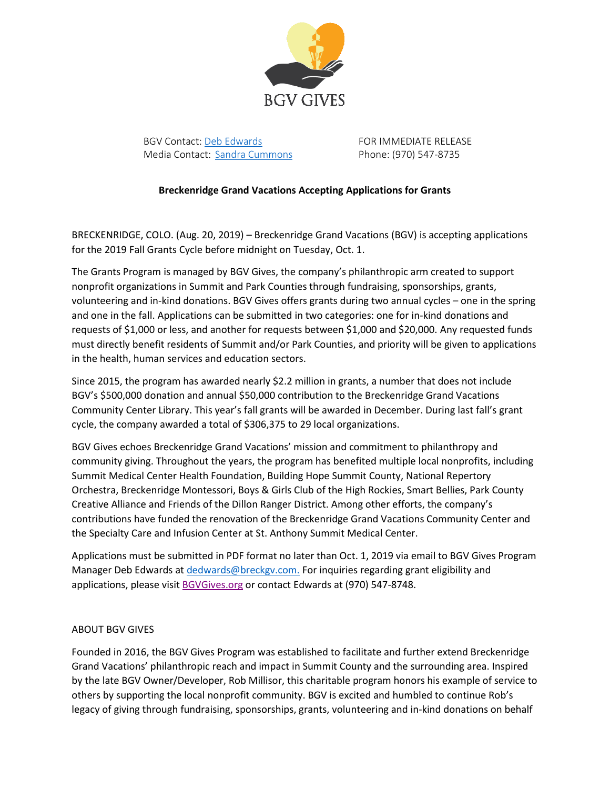

BGV Contact: [Deb Edwards](mailto:DEdwards@GrandTimber.com) FOR IMMEDIATE RELEASE Media Contact: [Sandra Cummons](mailto:scummons@breckgv.com) Phone: (970) 547-8735

## **Breckenridge Grand Vacations Accepting Applications for Grants**

BRECKENRIDGE, COLO. (Aug. 20, 2019) – Breckenridge Grand Vacations (BGV) is accepting applications for the 2019 Fall Grants Cycle before midnight on Tuesday, Oct. 1.

The Grants Program is managed by BGV Gives, the company's philanthropic arm created to support nonprofit organizations in Summit and Park Counties through fundraising, sponsorships, grants, volunteering and in-kind donations. BGV Gives offers grants during two annual cycles – one in the spring and one in the fall. Applications can be submitted in two categories: one for in-kind donations and requests of \$1,000 or less, and another for requests between \$1,000 and \$20,000. Any requested funds must directly benefit residents of Summit and/or Park Counties, and priority will be given to applications in the health, human services and education sectors.

Since 2015, the program has awarded nearly \$2.2 million in grants, a number that does not include BGV's \$500,000 donation and annual \$50,000 contribution to the Breckenridge Grand Vacations Community Center Library. This year's fall grants will be awarded in December. During last fall's grant cycle, the company awarded a total of \$306,375 to 29 local organizations.

BGV Gives echoes Breckenridge Grand Vacations' mission and commitment to philanthropy and community giving. Throughout the years, the program has benefited multiple local nonprofits, including Summit Medical Center Health Foundation, Building Hope Summit County, National Repertory Orchestra, Breckenridge Montessori, Boys & Girls Club of the High Rockies, Smart Bellies, Park County Creative Alliance and Friends of the Dillon Ranger District. Among other efforts, the company's contributions have funded the renovation of the Breckenridge Grand Vacations Community Center and the Specialty Care and Infusion Center at St. Anthony Summit Medical Center.

Applications must be submitted in PDF format no later than Oct. 1, 2019 via email to BGV Gives Program Manager Deb Edwards at [dedwards@breckgv.com.](mailto:dedwards@breckgv.com.) For inquiries regarding grant eligibility and applications, please visit [BGVGives.org](http://bgvgives.org/) or contact Edwards at (970) 547-8748.

## ABOUT BGV GIVES

Founded in 2016, the BGV Gives Program was established to facilitate and further extend Breckenridge Grand Vacations' philanthropic reach and impact in Summit County and the surrounding area. Inspired by the late BGV Owner/Developer, Rob Millisor, this charitable program honors his example of service to others by supporting the local nonprofit community. BGV is excited and humbled to continue Rob's legacy of giving through fundraising, sponsorships, grants, volunteering and in-kind donations on behalf